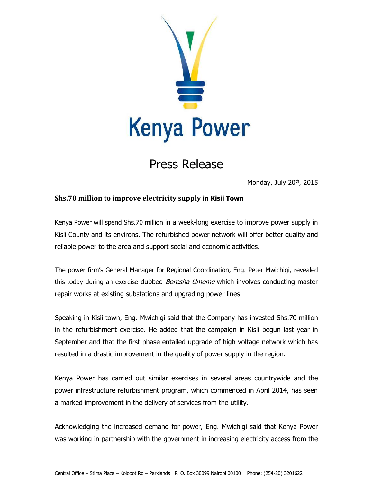

## Press Release

Monday, July 20<sup>th</sup>, 2015

## **Shs.70 million to improve electricity supply in Kisii Town**

Kenya Power will spend Shs.70 million in a week-long exercise to improve power supply in Kisii County and its environs. The refurbished power network will offer better quality and reliable power to the area and support social and economic activities.

The power firm's General Manager for Regional Coordination, Eng. Peter Mwichigi, revealed this today during an exercise dubbed *Boresha Umeme* which involves conducting master repair works at existing substations and upgrading power lines.

Speaking in Kisii town, Eng. Mwichigi said that the Company has invested Shs.70 million in the refurbishment exercise. He added that the campaign in Kisii begun last year in September and that the first phase entailed upgrade of high voltage network which has resulted in a drastic improvement in the quality of power supply in the region.

Kenya Power has carried out similar exercises in several areas countrywide and the power infrastructure refurbishment program, which commenced in April 2014, has seen a marked improvement in the delivery of services from the utility.

Acknowledging the increased demand for power, Eng. Mwichigi said that Kenya Power was working in partnership with the government in increasing electricity access from the